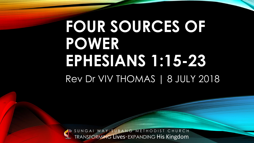#### **FOUR SOURCES OF POWER EPHESIANS 1:15-23** Rev Dr VIV THOMAS | 8 JULY 2018

TRANSFORMING Lives**·** EXPANDING His Kingdom SUNGAI WAY-SUBANG METHODIST CHURCH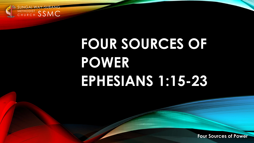

## **FOUR SOURCES OF POWER EPHESIANS 1:15-23**

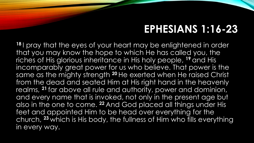#### **EPHESIANS 1:16-23**

**<sup>18</sup>** I pray that the eyes of your heart may be enlightened in order that you may know the hope to which He has called you, the riches of His glorious inheritance in His holy people, **<sup>19</sup>** and His incomparably great power for us who believe. That power is the same as the mighty strength **<sup>20</sup>** He exerted when He raised Christ from the dead and seated Him at His right hand in the heavenly realms, **<sup>21</sup>** far above all rule and authority, power and dominion, and every name that is invoked, not only in the present age but also in the one to come. **<sup>22</sup>** And God placed all things under His feet and appointed Him to be head over everything for the church, **<sup>23</sup>** which is His body, the fullness of Him who fills everything in every way.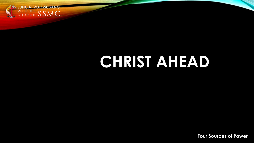

#### **CHRIST AHEAD**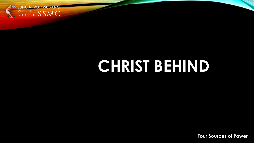

#### **CHRIST BEHIND**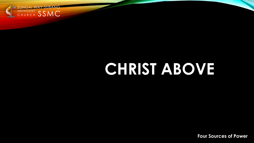

#### **CHRIST ABOVE**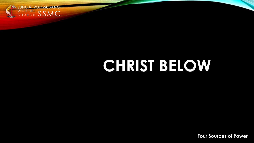

#### **CHRIST BELOW**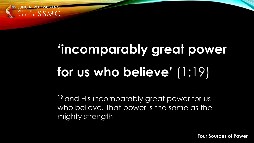

# **'incomparably great power for us who believe'** (1:19)

**<sup>19</sup>** and His incomparably great power for us who believe. That power is the same as the mighty strength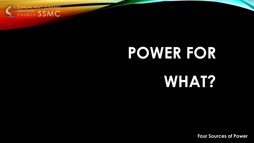

#### **POWER FOR**

#### **WHAT?**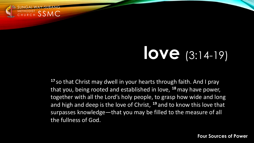

## **love** (3:14-19)

**<sup>17</sup>** so that Christ may dwell in your hearts through faith. And I pray that you, being rooted and established in love, **<sup>18</sup>**may have power, together with all the Lord's holy people, to grasp how wide and long and high and deep is the love of Christ, **<sup>19</sup>** and to know this love that surpasses knowledge—that you may be filled to the measure of all the fullness of God.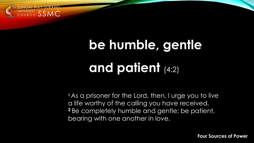

# **be humble, gentle and patient** (4:2)

**<sup>1</sup>** As a prisoner for the Lord, then, I urge you to live a life worthy of the calling you have received. **<sup>2</sup>** Be completely humble and gentle; be patient, bearing with one another in love.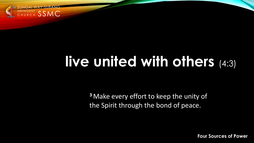

#### **live united with others** (4:3)

**<sup>3</sup>** Make every effort to keep the unity of the Spirit through the bond of peace.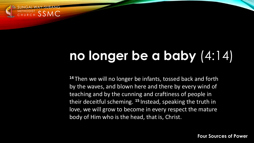

#### **no longer be a baby** (4:14)

**<sup>14</sup>** Then we will no longer be infants, tossed back and forth by the waves, and blown here and there by every wind of teaching and by the cunning and craftiness of people in their deceitful scheming. **<sup>15</sup>** Instead, speaking the truth in love, we will grow to become in every respect the mature body of Him who is the head, that is, Christ.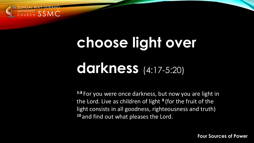

# **choose light over darkness** (4:17-5:20)

**5:8** For you were once darkness, but now you are light in the Lord. Live as children of light **<sup>9</sup>** (for the fruit of the light consists in all goodness, righteousness and truth) **<sup>10</sup>** and find out what pleases the Lord.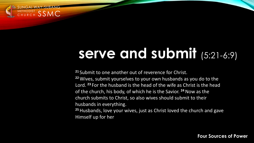

#### **serve and submit** (5:21-6:9)

**<sup>21</sup>** Submit to one another out of reverence for Christ.

**<sup>22</sup>** Wives, submit yourselves to your own husbands as you do to the Lord. **<sup>23</sup>** For the husband is the head of the wife as Christ is the head of the church, his body, of which he is the Savior. **<sup>24</sup>**Now as the church submits to Christ, so also wives should submit to their husbands in everything.

**<sup>25</sup>**Husbands, love your wives, just as Christ loved the church and gave Himself up for her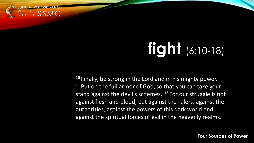

# **fight** (6:10-18)

**<sup>10</sup>** Finally, be strong in the Lord and in his mighty power. **<sup>11</sup>** Put on the full armor of God, so that you can take your stand against the devil's schemes. **<sup>12</sup>** For our struggle is not against flesh and blood, but against the rulers, against the authorities, against the powers of this dark world and against the spiritual forces of evil in the heavenly realms.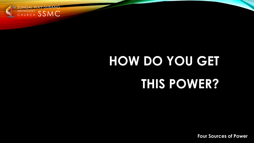

# **HOW DO YOU GET THIS POWER?**